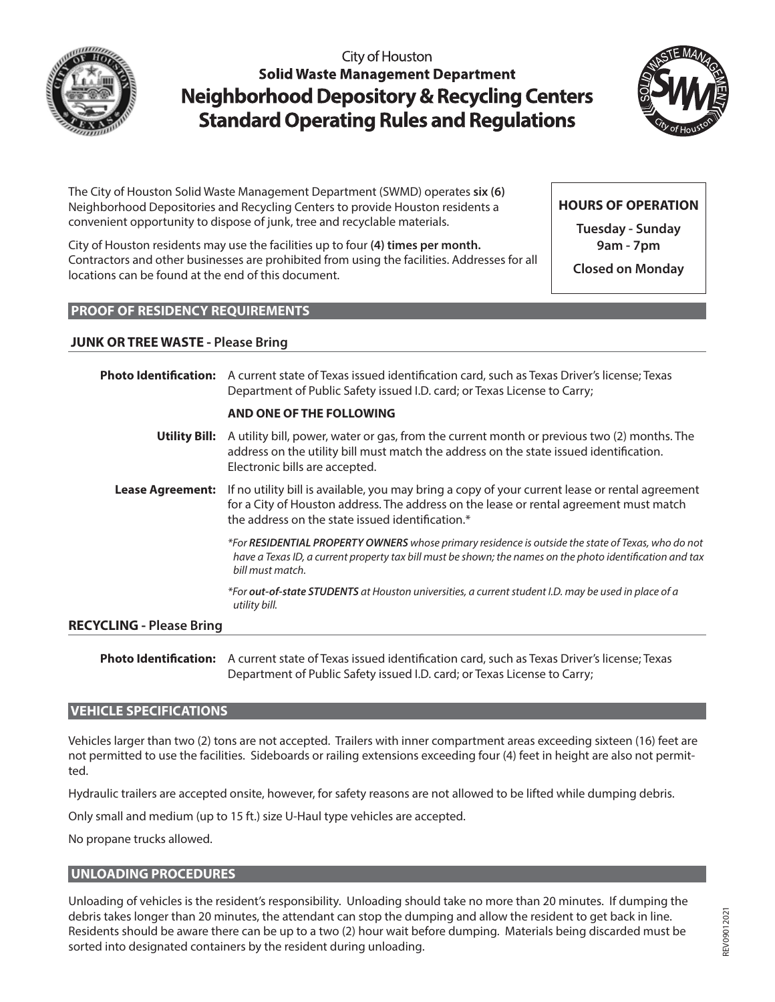

City of Houston **Solid Waste Management Department Neighborhood Depository & Recycling Centers Standard Operating Rules and Regulations** 



The City of Houston Solid Waste Management Department (SWMD) operates **six (6)** Neighborhood Depositories and Recycling Centers to provide Houston residents a convenient opportunity to dispose of junk, tree and recyclable materials.

City of Houston residents may use the facilities up to four **(4) times per month.** Contractors and other businesses are prohibited from using the facilities. Addresses for all locations can be found at the end of this document.

**HOURS OF OPERATION**

**Tuesday - Sunday 9am - 7pm**

**Closed on Monday**

#### **PROOF OF RESIDENCY REQUIREMENTS**

#### **JUNK OR TREE WASTE - Please Bring**

|                                 | Photo Identification: A current state of Texas issued identification card, such as Texas Driver's license; Texas<br>Department of Public Safety issued I.D. card; or Texas License to Carry;                                                  |
|---------------------------------|-----------------------------------------------------------------------------------------------------------------------------------------------------------------------------------------------------------------------------------------------|
|                                 | AND ONE OF THE FOLLOWING                                                                                                                                                                                                                      |
|                                 | <b>Utility Bill:</b> A utility bill, power, water or gas, from the current month or previous two (2) months. The<br>address on the utility bill must match the address on the state issued identification.<br>Electronic bills are accepted.  |
| <b>Lease Agreement:</b>         | If no utility bill is available, you may bring a copy of your current lease or rental agreement<br>for a City of Houston address. The address on the lease or rental agreement must match<br>the address on the state issued identification.* |
|                                 | *For <b>RESIDENTIAL PROPERTY OWNERS</b> whose primary residence is outside the state of Texas, who do not<br>have a Texas ID, a current property tax bill must be shown; the names on the photo identification and tax<br>bill must match.    |
|                                 | *For out-of-state STUDENTS at Houston universities, a current student I.D. may be used in place of a<br>utility bill.                                                                                                                         |
| <b>RECYCLING - Please Bring</b> |                                                                                                                                                                                                                                               |

**Photo Identification:** A current state of Texas issued identification card, such as Texas Driver's license; Texas Department of Public Safety issued I.D. card; or Texas License to Carry;

#### **VEHICLE SPECIFICATIONS**

Vehicles larger than two (2) tons are not accepted. Trailers with inner compartment areas exceeding sixteen (16) feet are not permitted to use the facilities. Sideboards or railing extensions exceeding four (4) feet in height are also not permitted.

Hydraulic trailers are accepted onsite, however, for safety reasons are not allowed to be lifted while dumping debris.

Only small and medium (up to 15 ft.) size U-Haul type vehicles are accepted.

No propane trucks allowed.

#### **UNLOADING PROCEDURES**

Unloading of vehicles is the resident's responsibility. Unloading should take no more than 20 minutes. If dumping the debris takes longer than 20 minutes, the attendant can stop the dumping and allow the resident to get back in line. Residents should be aware there can be up to a two (2) hour wait before dumping. Materials being discarded must be sorted into designated containers by the resident during unloading.